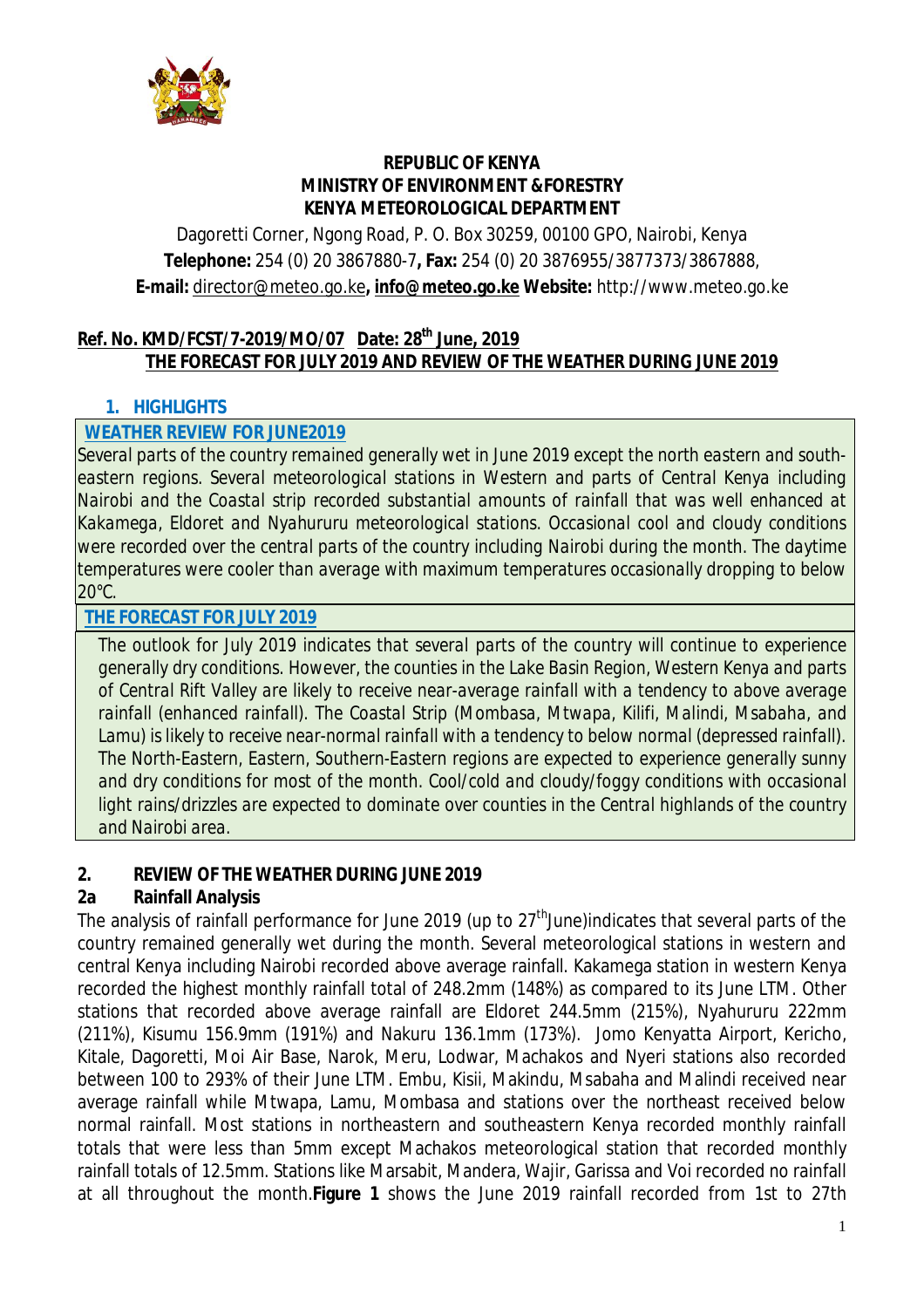

#### **REPUBLIC OF KENYA MINISTRY OF ENVIRONMENT &FORESTRY KENYA METEOROLOGICAL DEPARTMENT**

Dagoretti Corner, Ngong Road, P. O. Box 30259, 00100 GPO, Nairobi, Kenya **Telephone:** 254 (0) 20 3867880-7**, Fax:** 254 (0) 20 3876955/3877373/3867888, **E-mail:** director@meteo.go.ke**, info@meteo.go.ke Website:** http://www.meteo.go.ke

## **Ref. No. KMD/FCST/7-2019/MO/07 Date: 28 th June, 2019 THE FORECAST FOR JULY 2019 AND REVIEW OF THE WEATHER DURING JUNE 2019**

## **1. HIGHLIGHTS**

## **WEATHER REVIEW FOR JUNE2019**

*Several parts of the country remained generally wet in June 2019 except the north eastern and southeastern regions. Several meteorological stations in Western and parts of Central Kenya including Nairobi and the Coastal strip recorded substantial amounts of rainfall that was well enhanced at Kakamega, Eldoret and Nyahururu meteorological stations. Occasional cool and cloudy conditions were recorded over the central parts of the country including Nairobi during the month. The daytime temperatures were cooler than average with maximum temperatures occasionally dropping to below 20°C.*

#### **THE FORECAST FOR JULY 2019**

*The outlook for July 2019 indicates that several parts of the country will continue to experience generally dry conditions. However, the counties in the Lake Basin Region, Western Kenya and parts of Central Rift Valley are likely to receive near-average rainfall with a tendency to above average rainfall (enhanced rainfall). The Coastal Strip (Mombasa, Mtwapa, Kilifi, Malindi, Msabaha, and Lamu) is likely to receive near-normal rainfall with a tendency to below normal (depressed rainfall). The North-Eastern, Eastern, Southern-Eastern regions are expected to experience generally sunny and dry conditions for most of the month. Cool/cold and cloudy/foggy conditions with occasional light rains/drizzles are expected to dominate over counties in the Central highlands of the country and Nairobi area.*

## **2. REVIEW OF THE WEATHER DURING JUNE 2019**

## **2a Rainfall Analysis**

The analysis of rainfall performance for June 2019 (up to 27<sup>th</sup>June)indicates that several parts of the country remained generally wet during the month. Several meteorological stations in western and central Kenya including Nairobi recorded above average rainfall. Kakamega station in western Kenya recorded the highest monthly rainfall total of 248.2mm (148%) as compared to its June LTM. Other stations that recorded above average rainfall are Eldoret 244.5mm (215%), Nyahururu 222mm (211%), Kisumu 156.9mm (191%) and Nakuru 136.1mm (173%). Jomo Kenyatta Airport, Kericho, Kitale, Dagoretti, Moi Air Base, Narok, Meru, Lodwar, Machakos and Nyeri stations also recorded between 100 to 293% of their June LTM. Embu, Kisii, Makindu, Msabaha and Malindi received near average rainfall while Mtwapa, Lamu, Mombasa and stations over the northeast received below normal rainfall. Most stations in northeastern and southeastern Kenya recorded monthly rainfall totals that were less than 5mm except Machakos meteorological station that recorded monthly rainfall totals of 12.5mm. Stations like Marsabit, Mandera, Wajir, Garissa and Voi recorded no rainfall at all throughout the month.**Figure 1** shows the June 2019 rainfall recorded from 1st to 27th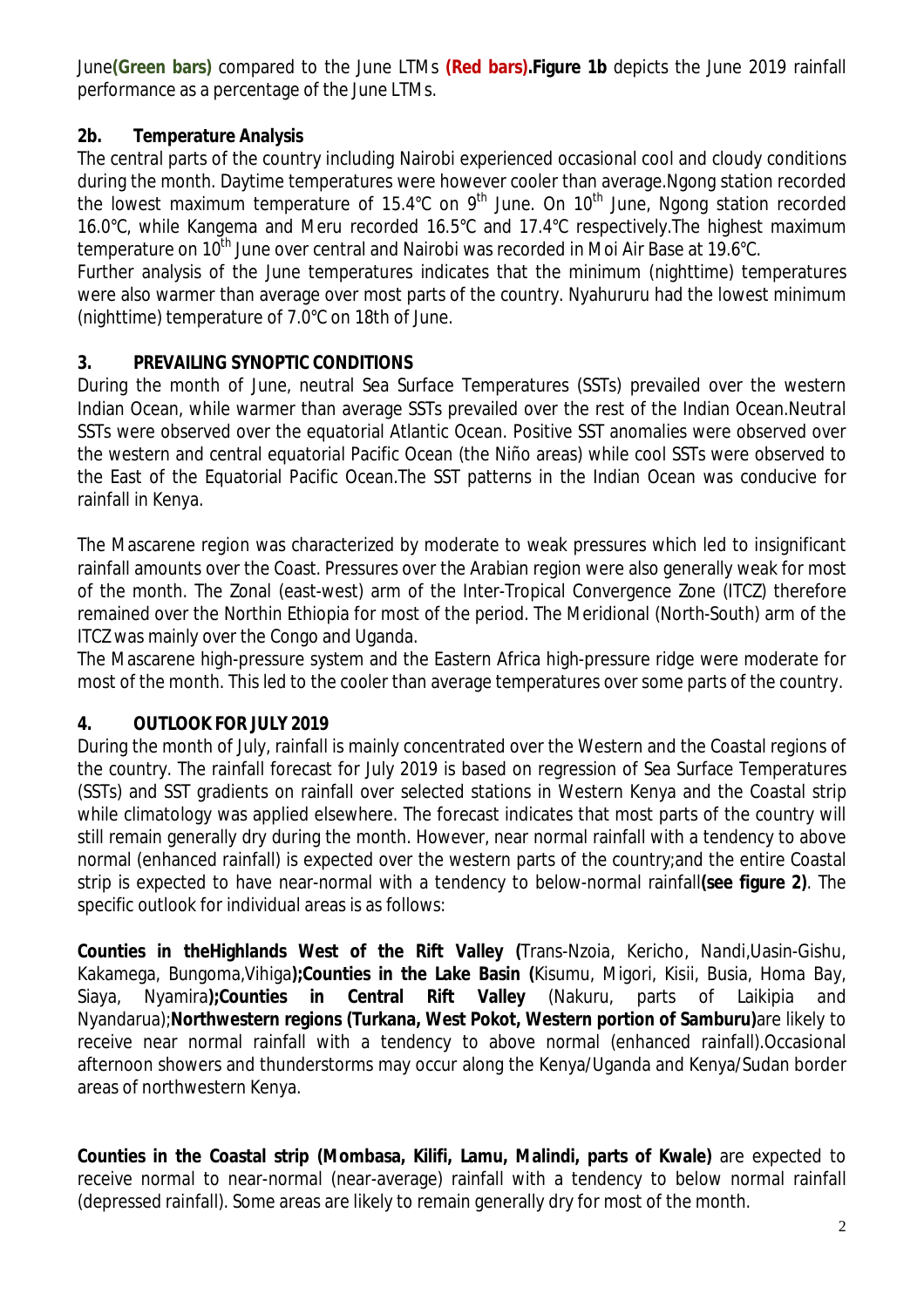June**(Green bars)** compared to the June LTMs **(Red bars).Figure 1b** depicts the June 2019 rainfall performance as a percentage of the June LTMs.

# **2b. Temperature Analysis**

The central parts of the country including Nairobi experienced occasional cool and cloudy conditions during the month. Daytime temperatures were however cooler than average.Ngong station recorded the lowest maximum temperature of 15.4°C on  $9<sup>th</sup>$  June. On 10<sup>th</sup> June, Ngong station recorded 16.0°C, while Kangema and Meru recorded 16.5°C and 17.4°C respectively.The highest maximum temperature on 10<sup>th</sup> June over central and Nairobi was recorded in Moi Air Base at 19.6°C.

Further analysis of the June temperatures indicates that the minimum (nighttime) temperatures were also warmer than average over most parts of the country. Nyahururu had the lowest minimum (nighttime) temperature of 7.0°C on 18th of June.

# **3. PREVAILING SYNOPTIC CONDITIONS**

During the month of June, neutral Sea Surface Temperatures (SSTs) prevailed over the western Indian Ocean, while warmer than average SSTs prevailed over the rest of the Indian Ocean.Neutral SSTs were observed over the equatorial Atlantic Ocean. Positive SST anomalies were observed over the western and central equatorial Pacific Ocean (the Niño areas) while cool SSTs were observed to the East of the Equatorial Pacific Ocean.The SST patterns in the Indian Ocean was conducive for rainfall in Kenya.

The Mascarene region was characterized by moderate to weak pressures which led to insignificant rainfall amounts over the Coast. Pressures over the Arabian region were also generally weak for most of the month. The Zonal (east-west) arm of the Inter-Tropical Convergence Zone (ITCZ) therefore remained over the Northin Ethiopia for most of the period. The Meridional (North-South) arm of the ITCZ was mainly over the Congo and Uganda.

The Mascarene high-pressure system and the Eastern Africa high-pressure ridge were moderate for most of the month. This led to the cooler than average temperatures over some parts of the country.

## **4. OUTLOOK FOR JULY 2019**

During the month of July, rainfall is mainly concentrated over the Western and the Coastal regions of the country. The rainfall forecast for July 2019 is based on regression of Sea Surface Temperatures (SSTs) and SST gradients on rainfall over selected stations in Western Kenya and the Coastal strip while climatology was applied elsewhere. The forecast indicates that most parts of the country will still remain generally dry during the month. However, near normal rainfall with a tendency to above normal (enhanced rainfall) is expected over the western parts of the country;and the entire Coastal strip is expected to have near-normal with a tendency to below-normal rainfall**(see figure 2)**. The specific outlook for individual areas is as follows:

**Counties in theHighlands West of the Rift Valley (**Trans-Nzoia, Kericho, Nandi,Uasin-Gishu, Kakamega, Bungoma,Vihiga**);Counties in the Lake Basin (**Kisumu, Migori, Kisii, Busia, Homa Bay, Siaya, Nyamira**);Counties in Central Rift Valley** (Nakuru, parts of Laikipia and Nyandarua);**Northwestern regions (Turkana, West Pokot, Western portion of Samburu)**are likely to receive near normal rainfall with a tendency to above normal (enhanced rainfall).Occasional afternoon showers and thunderstorms may occur along the Kenya/Uganda and Kenya/Sudan border areas of northwestern Kenya.

**Counties in the Coastal strip (Mombasa, Kilifi, Lamu, Malindi, parts of Kwale)** are expected to receive normal to near-normal (near-average) rainfall with a tendency to below normal rainfall (depressed rainfall). Some areas are likely to remain generally dry for most of the month.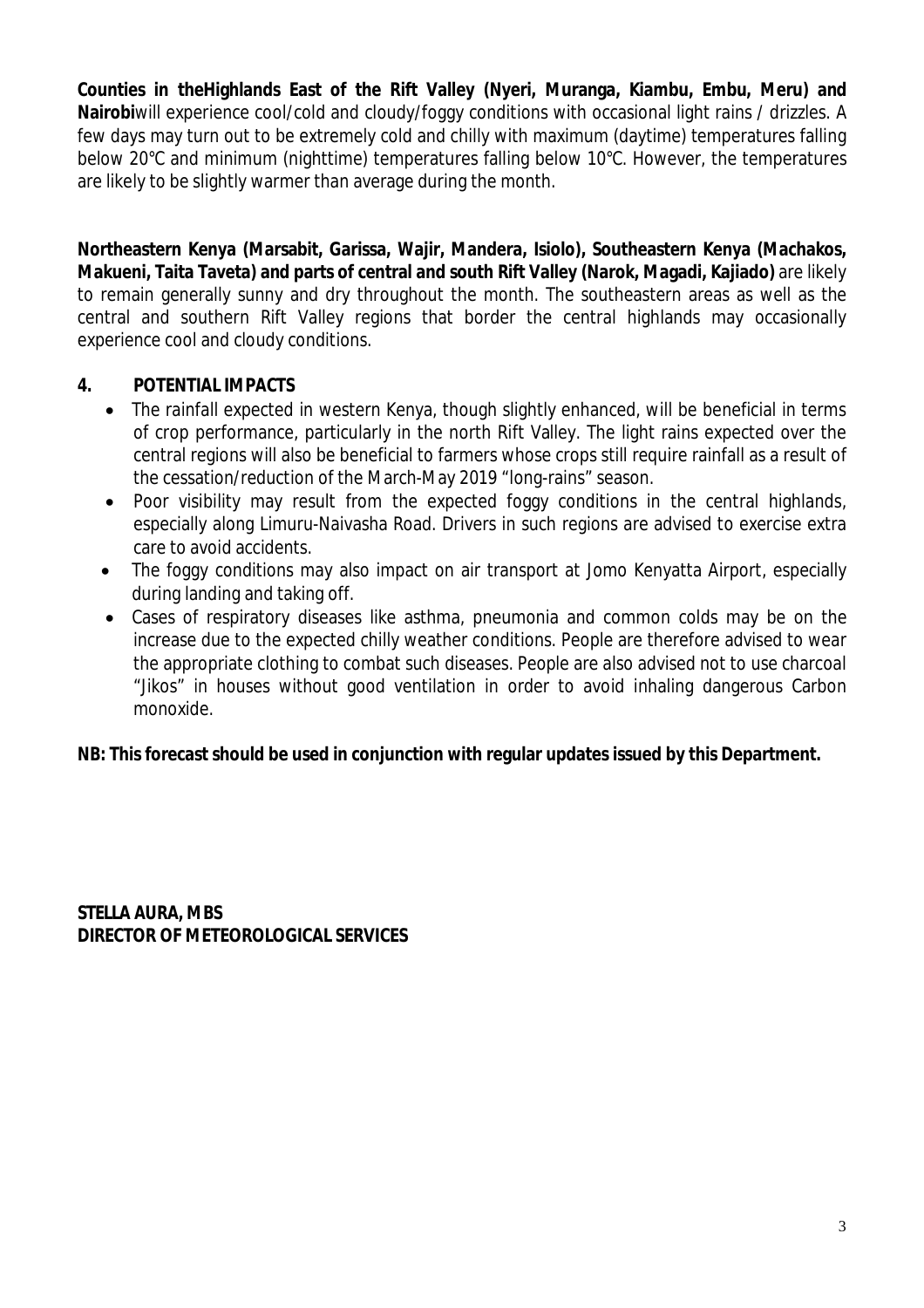**Counties in theHighlands East of the Rift Valley (Nyeri, Muranga, Kiambu, Embu, Meru) and Nairobi**will experience cool/cold and cloudy/foggy conditions with occasional light rains / drizzles. A few days may turn out to be extremely cold and chilly with maximum (daytime) temperatures falling below 20°C and minimum (nighttime) temperatures falling below 10°C. However, the temperatures are likely to be slightly warmer than average during the month.

**Northeastern Kenya (Marsabit, Garissa, Wajir, Mandera, Isiolo), Southeastern Kenya (Machakos, Makueni, Taita Taveta) and parts of central and south Rift Valley (Narok, Magadi, Kajiado)** are likely to remain generally sunny and dry throughout the month. The southeastern areas as well as the central and southern Rift Valley regions that border the central highlands may occasionally experience cool and cloudy conditions.

## **4. POTENTIAL IMPACTS**

- The rainfall expected in western Kenya, though slightly enhanced, will be beneficial in terms of crop performance, particularly in the north Rift Valley. The light rains expected over the central regions will also be beneficial to farmers whose crops still require rainfall as a result of the cessation/reduction of the March-May 2019 "long-rains" season.
- Poor visibility may result from the expected foggy conditions in the central highlands, especially along Limuru-Naivasha Road. Drivers in such regions are advised to exercise extra care to avoid accidents.
- The foggy conditions may also impact on air transport at Jomo Kenyatta Airport, especially during landing and taking off.
- Cases of respiratory diseases like asthma, pneumonia and common colds may be on the increase due to the expected chilly weather conditions. People are therefore advised to wear the appropriate clothing to combat such diseases. People are also advised not to use charcoal "Jikos" in houses without good ventilation in order to avoid inhaling dangerous Carbon monoxide.

## **NB: This forecast should be used in conjunction with regular updates issued by this Department.**

**STELLA AURA, MBS DIRECTOR OF METEOROLOGICAL SERVICES**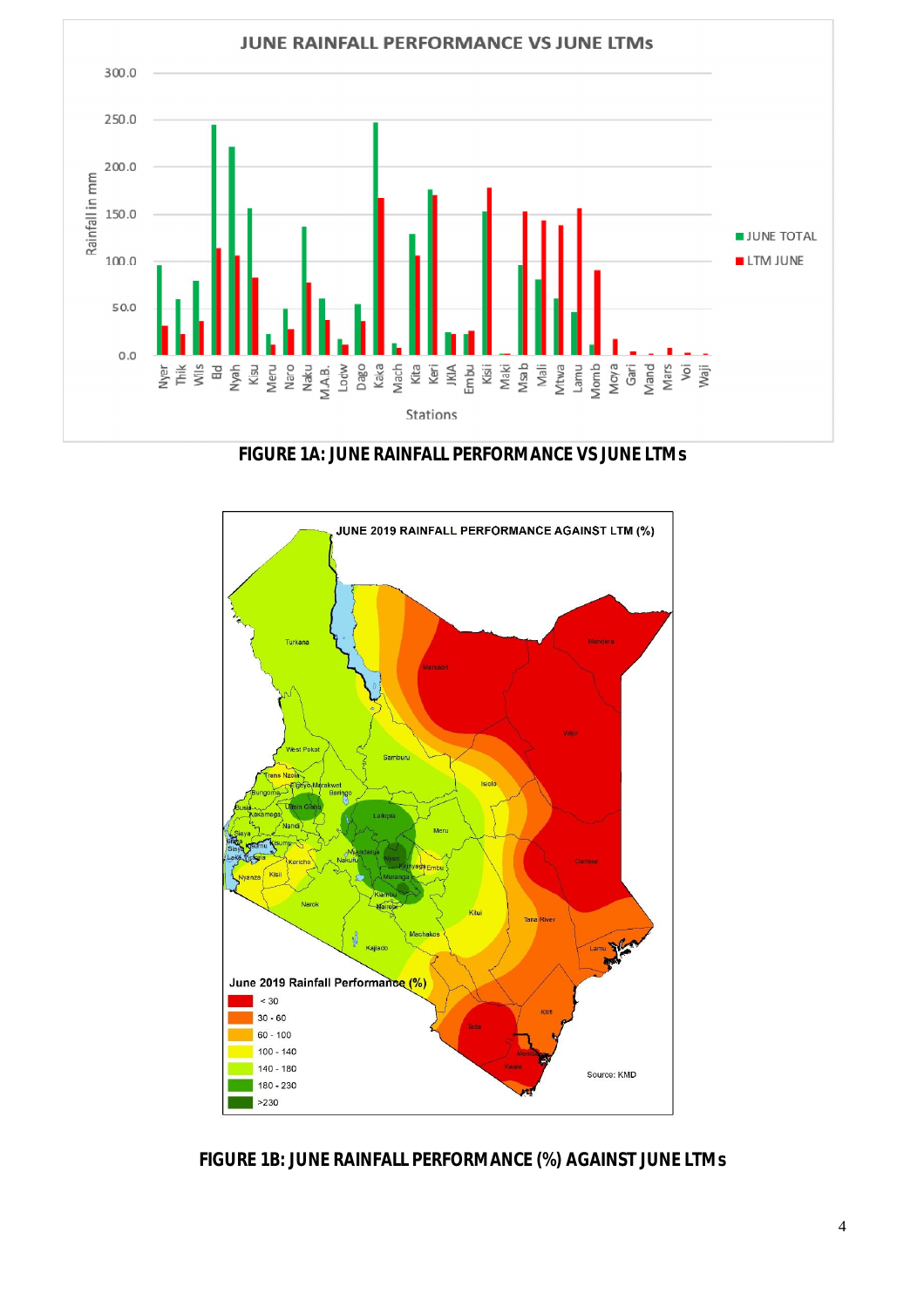

**FIGURE 1A: JUNE RAINFALL PERFORMANCE VS JUNE LTMs**



**FIGURE 1B: JUNE RAINFALL PERFORMANCE (%) AGAINST JUNE LTMs**